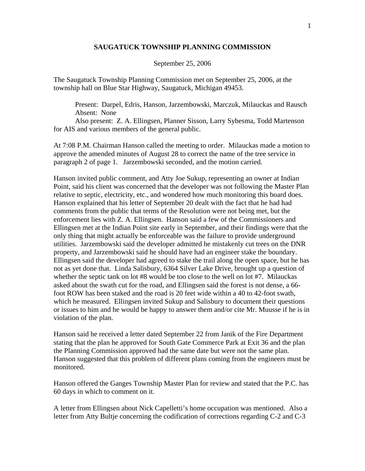## **SAUGATUCK TOWNSHIP PLANNING COMMISSION**

## September 25, 2006

The Saugatuck Township Planning Commission met on September 25, 2006, at the township hall on Blue Star Highway, Saugatuck, Michigan 49453.

 Present: Darpel, Edris, Hanson, Jarzembowski, Marczuk, Milauckas and Rausch Absent: None

 Also present: Z. A. Ellingsen, Planner Sisson, Larry Sybesma, Todd Martenson for AIS and various members of the general public.

At 7:08 P.M. Chairman Hanson called the meeting to order. Milauckas made a motion to approve the amended minutes of August 28 to correct the name of the tree service in paragraph 2 of page 1. Jarzembowski seconded, and the motion carried.

Hanson invited public comment, and Atty Joe Sukup, representing an owner at Indian Point, said his client was concerned that the developer was not following the Master Plan relative to septic, electricity, etc., and wondered how much monitoring this board does. Hanson explained that his letter of September 20 dealt with the fact that he had had comments from the public that terms of the Resolution were not being met, but the enforcement lies with Z. A. Ellingsen. Hanson said a few of the Commissioners and Ellingsen met at the Indian Point site early in September, and their findings were that the only thing that might actually be enforceable was the failure to provide underground utilities. Jarzembowski said the developer admitted he mistakenly cut trees on the DNR property, and Jarzembowski said he should have had an engineer stake the boundary. Ellingsen said the developer had agreed to stake the trail along the open space, but he has not as yet done that. Linda Salisbury, 6364 Silver Lake Drive, brought up a question of whether the septic tank on lot #8 would be too close to the well on lot #7. Milauckas asked about the swath cut for the road, and Ellingsen said the forest is not dense, a 66 foot ROW has been staked and the road is 20 feet wide within a 40 to 42-foot swath, which he measured. Ellingsen invited Sukup and Salisbury to document their questions or issues to him and he would be happy to answer them and/or cite Mr. Muusse if he is in violation of the plan.

Hanson said he received a letter dated September 22 from Janik of the Fire Department stating that the plan he approved for South Gate Commerce Park at Exit 36 and the plan the Planning Commission approved had the same date but were not the same plan. Hanson suggested that this problem of different plans coming from the engineers must be monitored.

Hanson offered the Ganges Township Master Plan for review and stated that the P.C. has 60 days in which to comment on it.

A letter from Ellingsen about Nick Capelletti's home occupation was mentioned. Also a letter from Atty Bultje concerning the codification of corrections regarding C-2 and C-3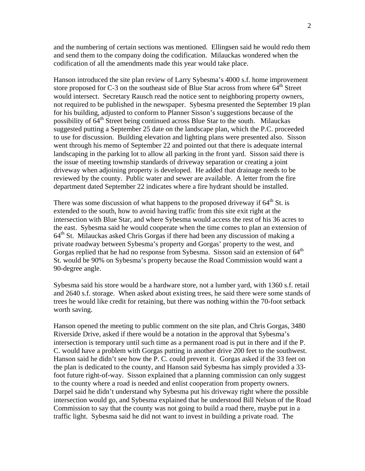and the numbering of certain sections was mentioned. Ellingsen said he would redo them and send them to the company doing the codification. Milauckas wondered when the codification of all the amendments made this year would take place.

Hanson introduced the site plan review of Larry Sybesma's 4000 s.f. home improvement store proposed for C-3 on the southeast side of Blue Star across from where  $64<sup>th</sup>$  Street would intersect. Secretary Rausch read the notice sent to neighboring property owners, not required to be published in the newspaper. Sybesma presented the September 19 plan for his building, adjusted to conform to Planner Sisson's suggestions because of the possibility of  $64<sup>th</sup>$  Street being continued across Blue Star to the south. Milauckas suggested putting a September 25 date on the landscape plan, which the P.C. proceeded to use for discussion. Building elevation and lighting plans were presented also. Sisson went through his memo of September 22 and pointed out that there is adequate internal landscaping in the parking lot to allow all parking in the front yard. Sisson said there is the issue of meeting township standards of driveway separation or creating a joint driveway when adjoining property is developed. He added that drainage needs to be reviewed by the county. Public water and sewer are available. A letter from the fire department dated September 22 indicates where a fire hydrant should be installed.

There was some discussion of what happens to the proposed driveway if  $64<sup>th</sup>$  St. is extended to the south, how to avoid having traffic from this site exit right at the intersection with Blue Star, and where Sybesma would access the rest of his 36 acres to the east. Sybesma said he would cooperate when the time comes to plan an extension of  $64<sup>th</sup>$  St. Milauckas asked Chris Gorgas if there had been any discussion of making a private roadway between Sybesma's property and Gorgas' property to the west, and Gorgas replied that he had no response from Sybesma. Sisson said an extension of 64<sup>th</sup> St. would be 90% on Sybesma's property because the Road Commission would want a 90-degree angle.

Sybesma said his store would be a hardware store, not a lumber yard, with 1360 s.f. retail and 2640 s.f. storage. When asked about existing trees, he said there were some stands of trees he would like credit for retaining, but there was nothing within the 70-foot setback worth saving.

Hanson opened the meeting to public comment on the site plan, and Chris Gorgas, 3480 Riverside Drive, asked if there would be a notation in the approval that Sybesma's intersection is temporary until such time as a permanent road is put in there and if the P. C. would have a problem with Gorgas putting in another drive 200 feet to the southwest. Hanson said he didn't see how the P. C. could prevent it. Gorgas asked if the 33 feet on the plan is dedicated to the county, and Hanson said Sybesma has simply provided a 33 foot future right-of-way. Sisson explained that a planning commission can only suggest to the county where a road is needed and enlist cooperation from property owners. Darpel said he didn't understand why Sybesma put his driveway right where the possible intersection would go, and Sybesma explained that he understood Bill Nelson of the Road Commission to say that the county was not going to build a road there, maybe put in a traffic light. Sybesma said he did not want to invest in building a private road. The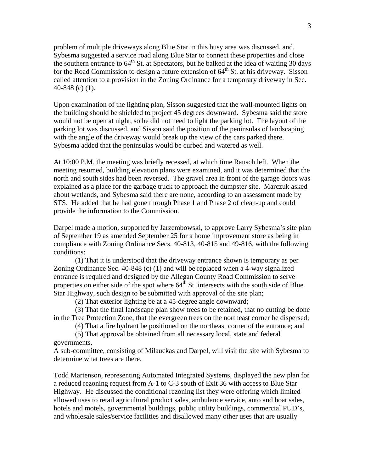problem of multiple driveways along Blue Star in this busy area was discussed, and. Sybesma suggested a service road along Blue Star to connect these properties and close the southern entrance to  $64<sup>th</sup>$  St. at Spectators, but he balked at the idea of waiting 30 days for the Road Commission to design a future extension of  $64<sup>th</sup>$  St. at his driveway. Sisson called attention to a provision in the Zoning Ordinance for a temporary driveway in Sec. 40-848 (c) (1).

Upon examination of the lighting plan, Sisson suggested that the wall-mounted lights on the building should be shielded to project 45 degrees downward. Sybesma said the store would not be open at night, so he did not need to light the parking lot. The layout of the parking lot was discussed, and Sisson said the position of the peninsulas of landscaping with the angle of the driveway would break up the view of the cars parked there. Sybesma added that the peninsulas would be curbed and watered as well.

At 10:00 P.M. the meeting was briefly recessed, at which time Rausch left. When the meeting resumed, building elevation plans were examined, and it was determined that the north and south sides had been reversed. The gravel area in front of the garage doors was explained as a place for the garbage truck to approach the dumpster site. Marczuk asked about wetlands, and Sybesma said there are none, according to an assessment made by STS. He added that he had gone through Phase 1 and Phase 2 of clean-up and could provide the information to the Commission.

Darpel made a motion, supported by Jarzembowski, to approve Larry Sybesma's site plan of September 19 as amended September 25 for a home improvement store as being in compliance with Zoning Ordinance Secs. 40-813, 40-815 and 49-816, with the following conditions:

 (1) That it is understood that the driveway entrance shown is temporary as per Zoning Ordinance Sec. 40-848 (c) (1) and will be replaced when a 4-way signalized entrance is required and designed by the Allegan County Road Commission to serve properties on either side of the spot where  $64<sup>th</sup>$  St. intersects with the south side of Blue Star Highway, such design to be submitted with approval of the site plan;

(2) That exterior lighting be at a 45-degree angle downward;

 (3) That the final landscape plan show trees to be retained, that no cutting be done in the Tree Protection Zone, that the evergreen trees on the northeast corner be dispersed;

(4) That a fire hydrant be positioned on the northeast corner of the entrance; and

 (5) That approval be obtained from all necessary local, state and federal governments.

A sub-committee, consisting of Milauckas and Darpel, will visit the site with Sybesma to determine what trees are there.

Todd Martenson, representing Automated Integrated Systems, displayed the new plan for a reduced rezoning request from A-1 to C-3 south of Exit 36 with access to Blue Star Highway. He discussed the conditional rezoning list they were offering which limited allowed uses to retail agricultural product sales, ambulance service, auto and boat sales, hotels and motels, governmental buildings, public utility buildings, commercial PUD's, and wholesale sales/service facilities and disallowed many other uses that are usually